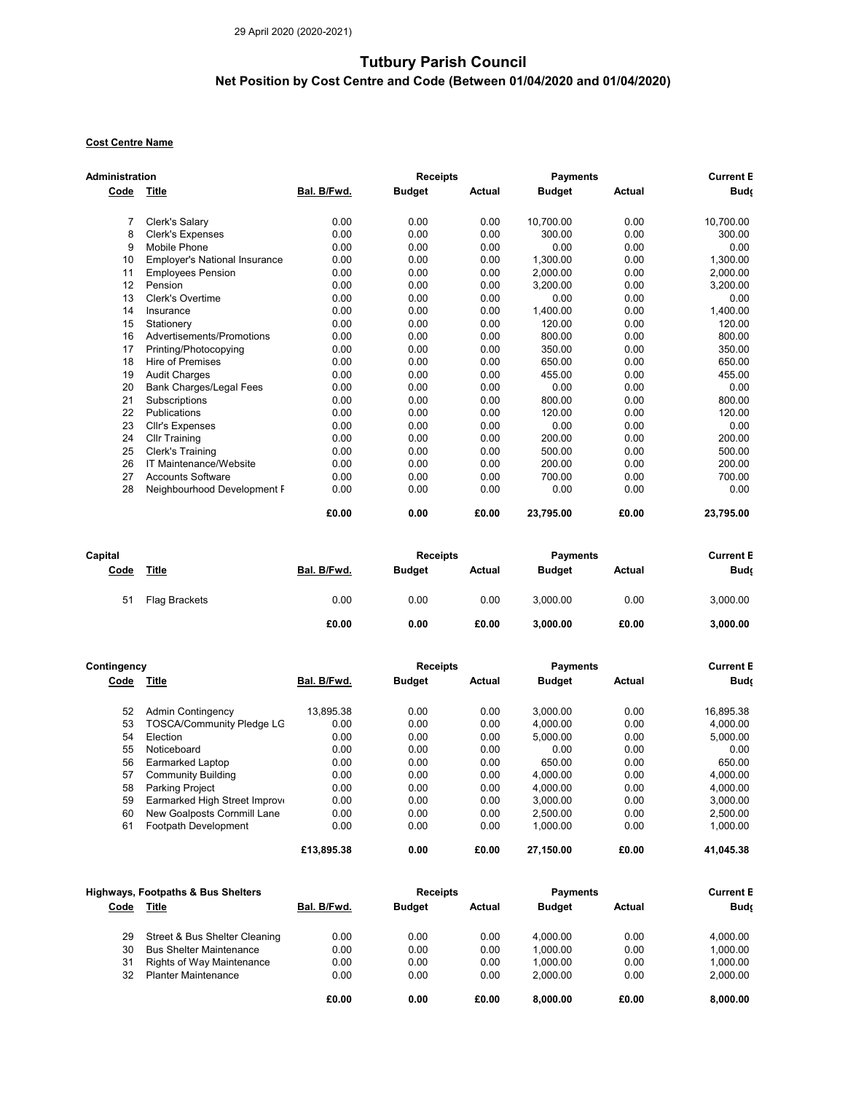## Tutbury Parish Council

## Net Position by Cost Centre and Code (Between 01/04/2020 and 01/04/2020)

## Cost Centre Name

| Administration |                                      |             | <b>Receipts</b> |        | <b>Payments</b> | <b>Current B</b> |            |
|----------------|--------------------------------------|-------------|-----------------|--------|-----------------|------------------|------------|
| Code           | Title                                | Bal. B/Fwd. | <b>Budget</b>   | Actual | <b>Budget</b>   | <b>Actual</b>    | <b>Bud</b> |
| 7              | Clerk's Salary                       | 0.00        | 0.00            | 0.00   | 10,700.00       | 0.00             | 10,700.00  |
| 8              | <b>Clerk's Expenses</b>              | 0.00        | 0.00            | 0.00   | 300.00          | 0.00             | 300.00     |
| 9              | Mobile Phone                         | 0.00        | 0.00            | 0.00   | 0.00            | 0.00             | 0.00       |
| 10             | <b>Employer's National Insurance</b> | 0.00        | 0.00            | 0.00   | 1,300.00        | 0.00             | 1,300.00   |
| 11             | <b>Employees Pension</b>             | 0.00        | 0.00            | 0.00   | 2,000.00        | 0.00             | 2,000.00   |
| 12             | Pension                              | 0.00        | 0.00            | 0.00   | 3,200.00        | 0.00             | 3,200.00   |
| 13             | <b>Clerk's Overtime</b>              | 0.00        | 0.00            | 0.00   | 0.00            | 0.00             | 0.00       |
| 14             | Insurance                            | 0.00        | 0.00            | 0.00   | 1,400.00        | 0.00             | 1,400.00   |
| 15             | Stationery                           | 0.00        | 0.00            | 0.00   | 120.00          | 0.00             | 120.00     |
| 16             | Advertisements/Promotions            | 0.00        | 0.00            | 0.00   | 800.00          | 0.00             | 800.00     |
| 17             | Printing/Photocopying                | 0.00        | 0.00            | 0.00   | 350.00          | 0.00             | 350.00     |
| 18             | Hire of Premises                     | 0.00        | 0.00            | 0.00   | 650.00          | 0.00             | 650.00     |
| 19             | <b>Audit Charges</b>                 | 0.00        | 0.00            | 0.00   | 455.00          | 0.00             | 455.00     |
| 20             | <b>Bank Charges/Legal Fees</b>       | 0.00        | 0.00            | 0.00   | 0.00            | 0.00             | 0.00       |
| 21             | Subscriptions                        | 0.00        | 0.00            | 0.00   | 800.00          | 0.00             | 800.00     |
| 22             | Publications                         | 0.00        | 0.00            | 0.00   | 120.00          | 0.00             | 120.00     |
| 23             | Cllr's Expenses                      | 0.00        | 0.00            | 0.00   | 0.00            | 0.00             | 0.00       |
| 24             | <b>Cllr Training</b>                 | 0.00        | 0.00            | 0.00   | 200.00          | 0.00             | 200.00     |
| 25             | Clerk's Training                     | 0.00        | 0.00            | 0.00   | 500.00          | 0.00             | 500.00     |
| 26             | IT Maintenance/Website               | 0.00        | 0.00            | 0.00   | 200.00          | 0.00             | 200.00     |
| 27             | <b>Accounts Software</b>             | 0.00        | 0.00            | 0.00   | 700.00          | 0.00             | 700.00     |
| 28             | Neighbourhood Development F          | 0.00        | 0.00            | 0.00   | 0.00            | 0.00             | 0.00       |
|                |                                      | £0.00       | 0.00            | £0.00  | 23.795.00       | £0.00            | 23,795.00  |

| Capital |               |             | <b>Receipts</b> |        | <b>Payments</b> |        | <b>Current E</b> |
|---------|---------------|-------------|-----------------|--------|-----------------|--------|------------------|
| Code    | <u>Title</u>  | Bal. B/Fwd. | <b>Budget</b>   | Actual | <b>Budget</b>   | Actual | <b>Budc</b>      |
|         |               |             |                 |        |                 |        |                  |
| 51      | Flag Brackets | 0.00        | 0.00            | 0.00   | 3.000.00        | 0.00   | 3,000.00         |
|         |               |             |                 |        |                 |        |                  |
|         |               | £0.00       | 0.00            | £0.00  | 3.000.00        | £0.00  | 3,000.00         |

| Contingency |                                  |             | <b>Receipts</b> |        | <b>Payments</b> |        | <b>Current E</b> |  |
|-------------|----------------------------------|-------------|-----------------|--------|-----------------|--------|------------------|--|
| Code        | Title                            | Bal. B/Fwd. | <b>Budget</b>   | Actual | <b>Budget</b>   | Actual | <b>Buds</b>      |  |
| 52          | <b>Admin Contingency</b>         | 13.895.38   | 0.00            | 0.00   | 3.000.00        | 0.00   | 16.895.38        |  |
| 53          | <b>TOSCA/Community Pledge LG</b> | 0.00        | 0.00            | 0.00   | 4.000.00        | 0.00   | 4.000.00         |  |
| 54          | Election                         | 0.00        | 0.00            | 0.00   | 5.000.00        | 0.00   | 5.000.00         |  |
| 55          | Noticeboard                      | 0.00        | 0.00            | 0.00   | 0.00            | 0.00   | 0.00             |  |
| 56          | Earmarked Laptop                 | 0.00        | 0.00            | 0.00   | 650.00          | 0.00   | 650.00           |  |
| 57          | <b>Community Building</b>        | 0.00        | 0.00            | 0.00   | 4.000.00        | 0.00   | 4.000.00         |  |
| 58          | <b>Parking Project</b>           | 0.00        | 0.00            | 0.00   | 4.000.00        | 0.00   | 4.000.00         |  |
| 59          | Earmarked High Street Improve    | 0.00        | 0.00            | 0.00   | 3.000.00        | 0.00   | 3.000.00         |  |
| 60          | New Goalposts Cornmill Lane      | 0.00        | 0.00            | 0.00   | 2.500.00        | 0.00   | 2.500.00         |  |
| 61          | Footpath Development             | 0.00        | 0.00            | 0.00   | 1.000.00        | 0.00   | 1.000.00         |  |
|             |                                  | £13,895,38  | 0.00            | £0.00  | 27.150.00       | £0.00  | 41.045.38        |  |

|      | <b>Highways, Footpaths &amp; Bus Shelters</b> |             | <b>Receipts</b> |        | <b>Payments</b> |        | <b>Current E</b> |
|------|-----------------------------------------------|-------------|-----------------|--------|-----------------|--------|------------------|
| Code | Title                                         | Bal. B/Fwd. | <b>Budget</b>   | Actual | <b>Budget</b>   | Actual | <b>Buds</b>      |
| 29   | Street & Bus Shelter Cleaning                 | 0.00        | 0.00            | 0.00   | 4.000.00        | 0.00   | 4.000.00         |
| 30   | <b>Bus Shelter Maintenance</b>                | 0.00        | 0.00            | 0.00   | 1.000.00        | 0.00   | 1.000.00         |
| 31   | Rights of Way Maintenance                     | 0.00        | 0.00            | 0.00   | 1.000.00        | 0.00   | 1.000.00         |
| 32   | <b>Planter Maintenance</b>                    | 0.00        | 0.00            | 0.00   | 2.000.00        | 0.00   | 2.000.00         |
|      |                                               | £0.00       | 0.00            | £0.00  | 8.000.00        | £0.00  | 8.000.00         |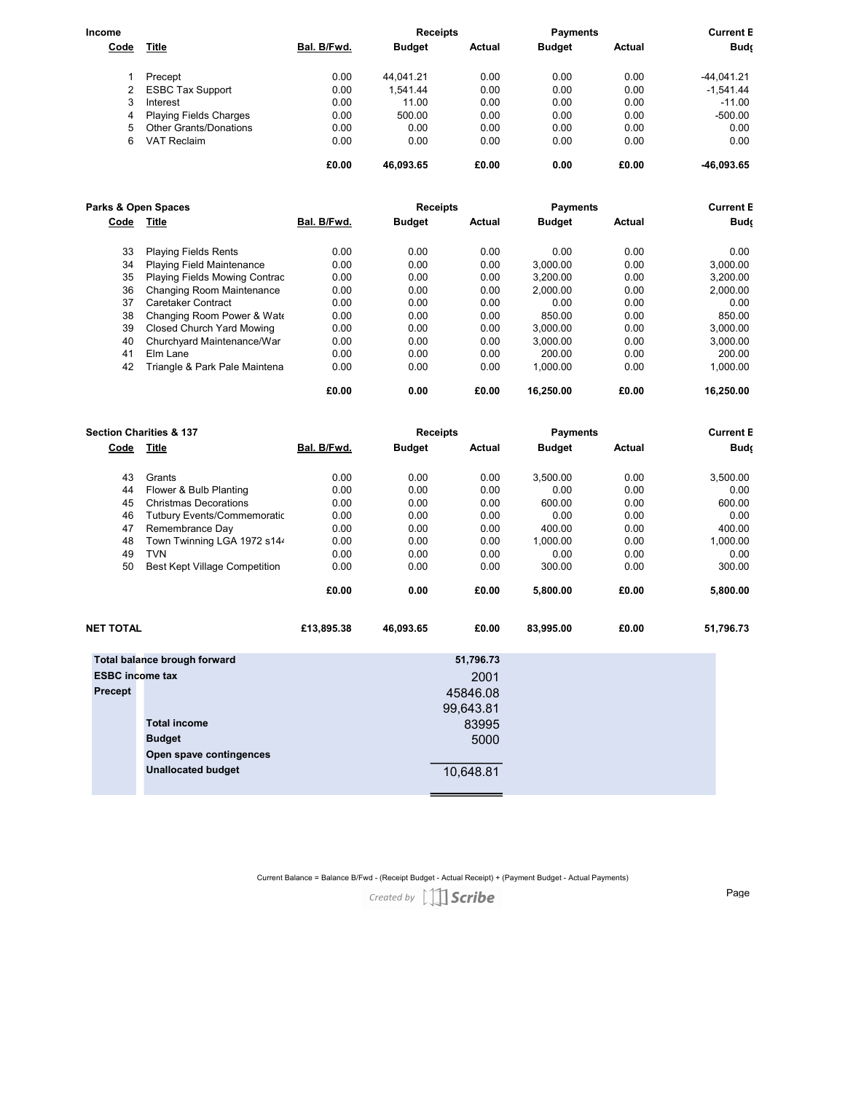| Income      |                               |             | <b>Receipts</b> |        | <b>Payments</b> |        | <b>Current E</b> |
|-------------|-------------------------------|-------------|-----------------|--------|-----------------|--------|------------------|
| <b>Code</b> | <u>Title</u>                  | Bal. B/Fwd. | <b>Budget</b>   | Actual | <b>Budget</b>   | Actual | <b>Buds</b>      |
|             | Precept                       | 0.00        | 44.041.21       | 0.00   | 0.00            | 0.00   | $-44.041.21$     |
|             | <b>ESBC Tax Support</b>       | 0.00        | .541.44         | 0.00   | 0.00            | 0.00   | $-1.541.44$      |
| 3           | Interest                      | 0.00        | 11.00           | 0.00   | 0.00            | 0.00   | $-11.00$         |
| 4           | <b>Playing Fields Charges</b> | 0.00        | 500.00          | 0.00   | 0.00            | 0.00   | $-500.00$        |
| 5           | <b>Other Grants/Donations</b> | 0.00        | 0.00            | 0.00   | 0.00            | 0.00   | 0.00             |
| 6           | VAT Reclaim                   | 0.00        | 0.00            | 0.00   | 0.00            | 0.00   | 0.00             |
|             |                               | £0.00       | 46,093.65       | £0.00  | 0.00            | £0.00  | -46,093.65       |

| Parks & Open Spaces |                                  |             | <b>Receipts</b> |        | <b>Payments</b> | <b>Current E</b> |             |
|---------------------|----------------------------------|-------------|-----------------|--------|-----------------|------------------|-------------|
| Code                | Title                            | Bal. B/Fwd. | <b>Budget</b>   | Actual | <b>Budget</b>   | Actual           | <b>Budc</b> |
| 33                  | <b>Playing Fields Rents</b>      | 0.00        | 0.00            | 0.00   | 0.00            | 0.00             | 0.00        |
| 34                  | Playing Field Maintenance        | 0.00        | 0.00            | 0.00   | 3.000.00        | 0.00             | 3.000.00    |
| 35                  | Playing Fields Mowing Contrac    | 0.00        | 0.00            | 0.00   | 3.200.00        | 0.00             | 3.200.00    |
| 36                  | Changing Room Maintenance        | 0.00        | 0.00            | 0.00   | 2.000.00        | 0.00             | 2.000.00    |
| 37                  | Caretaker Contract               | 0.00        | 0.00            | 0.00   | 0.00            | 0.00             | 0.00        |
| 38                  | Changing Room Power & Wate       | 0.00        | 0.00            | 0.00   | 850.00          | 0.00             | 850.00      |
| 39                  | <b>Closed Church Yard Mowing</b> | 0.00        | 0.00            | 0.00   | 3.000.00        | 0.00             | 3.000.00    |
| 40                  | Churchyard Maintenance/War I     | 0.00        | 0.00            | 0.00   | 3.000.00        | 0.00             | 3.000.00    |
| 41                  | Elm Lane                         | 0.00        | 0.00            | 0.00   | 200.00          | 0.00             | 200.00      |
| 42                  | Triangle & Park Pale Maintena    | 0.00        | 0.00            | 0.00   | 1.000.00        | 0.00             | 1.000.00    |
|                     |                                  | £0.00       | 0.00            | £0.00  | 16.250.00       | £0.00            | 16.250.00   |

| <b>Section Charities &amp; 137</b> |                                      | <b>Receipts</b> |               |           | <b>Payments</b> | <b>Current B</b> |           |
|------------------------------------|--------------------------------------|-----------------|---------------|-----------|-----------------|------------------|-----------|
| Code                               | Title                                | Bal. B/Fwd.     | <b>Budget</b> | Actual    | <b>Budget</b>   | Actual           | Budç      |
| 43                                 | Grants                               | 0.00            | 0.00          | 0.00      | 3,500.00        | 0.00             | 3,500.00  |
| 44                                 | Flower & Bulb Planting               | 0.00            | 0.00          | 0.00      | 0.00            | 0.00             | 0.00      |
| 45                                 | <b>Christmas Decorations</b>         | 0.00            | 0.00          | 0.00      | 600.00          | 0.00             | 600.00    |
| 46                                 | <b>Tutbury Events/Commemoratic</b>   | 0.00            | 0.00          | 0.00      | 0.00            | 0.00             | 0.00      |
| 47                                 | Remembrance Day                      | 0.00            | 0.00          | 0.00      | 400.00          | 0.00             | 400.00    |
| 48                                 | Town Twinning LGA 1972 s144          | 0.00            | 0.00          | 0.00      | 1,000.00        | 0.00             | 1,000.00  |
| 49                                 | <b>TVN</b>                           | 0.00            | 0.00          | 0.00      | 0.00            | 0.00             | 0.00      |
| 50                                 | <b>Best Kept Village Competition</b> | 0.00            | 0.00          | 0.00      | 300.00          | 0.00             | 300.00    |
|                                    |                                      | £0.00           | 0.00          | £0.00     | 5,800.00        | £0.00            | 5,800.00  |
| NET TOTAL                          |                                      | £13,895.38      | 46,093.65     | £0.00     | 83,995.00       | £0.00            | 51,796.73 |
|                                    | Total balance brough forward         |                 |               | 51,796.73 |                 |                  |           |
| <b>ESBC income tax</b>             |                                      |                 |               | 2001      |                 |                  |           |
| Precept                            |                                      |                 |               | 45846.08  |                 |                  |           |
|                                    |                                      |                 |               |           |                 |                  |           |
|                                    |                                      |                 |               | 99,643.81 |                 |                  |           |
|                                    | <b>Total income</b>                  |                 |               | 83995     |                 |                  |           |
|                                    | <b>Budget</b>                        |                 |               | 5000      |                 |                  |           |
|                                    | Open spave contingences              |                 |               |           |                 |                  |           |
|                                    | <b>Unallocated budget</b>            |                 |               | 10,648.81 |                 |                  |           |
|                                    |                                      |                 |               |           |                 |                  |           |

Current Balance = Balance B/Fwd - (Receipt Budget - Actual Receipt) + (Payment Budget - Actual Payments)<br> *Created by*  $\Box$  **Scribe** 

Page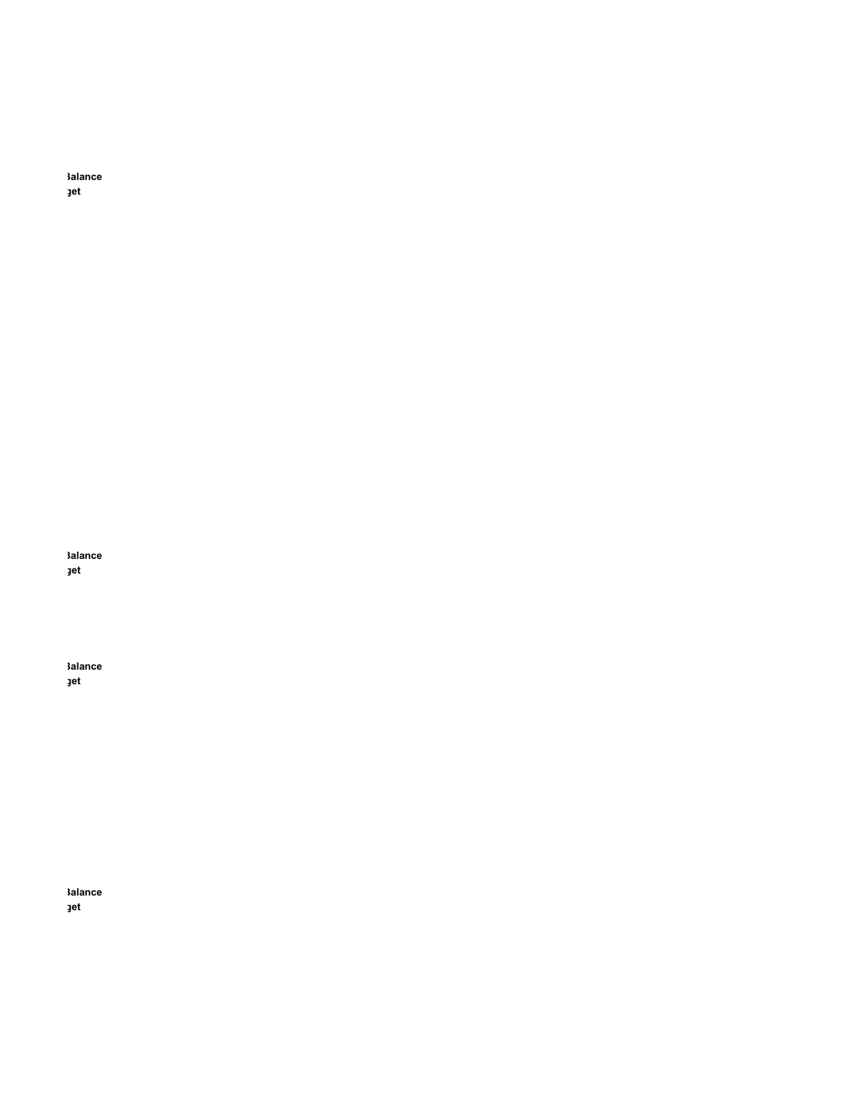kalance jet

kalance jet

**Salance** jet

kalance jet